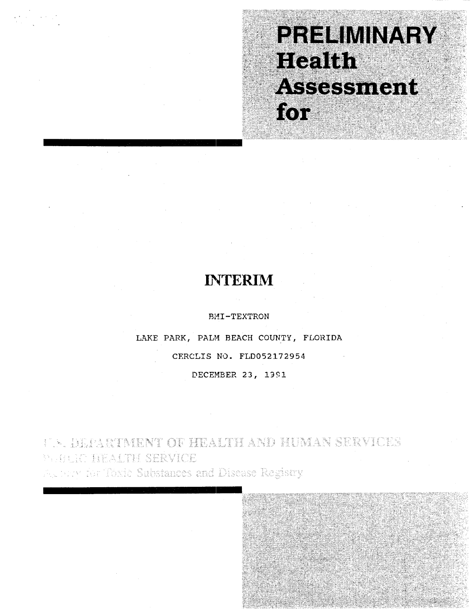# PRELIMINARY Health Assessment for

# **INTERIM**

BMI-TEXTRON

LAKE PARK, PALM BEACH COUNTY, FLORIDA CERCLIS NO. FLD052172954

DECEMBER 23, 1391

**TE DEPARTMENT OF HEALTH AND HUMAN SERVICES MEELO HEALTH SERVICE** Alexandric Toxic Substances and Disease Registry

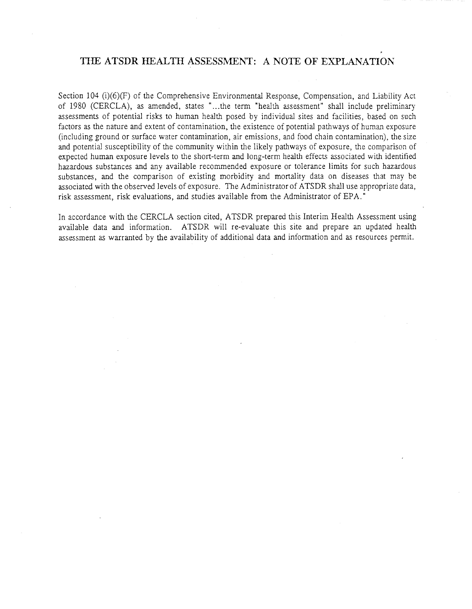# THE ATSDR HEALTH ASSESSMENT: A NOTE OF EXPLANATION

Section 104 (i)(6)(F) of the Comprehensive Environmental Response, Compensation, and Liability Act of 1980 (CERCLA), as amended, states " ... the term "health assessment" shall include preliminary assessments of potential risks to human health posed by individual sites and facilities, based on such factors as the nature and extent of contamination, the existence of potential pathways of human exposure (including ground or surface water contamination, air emissions, and food chain contamination), the size and potential susceptibility of the community within the likely pathways of exposure, the comparison of expected human exposure levels to the short-term and long-term health effects associated with identified hazardous substances and any available recommended exposure or tolerance limits for such hazardous substances, and the comparison of existing morbidity and mortality data on diseases that may be associated with the observed levels of exposure. The Administrator of ATSDR shall use appropriate data, risk assessment, risk evaluations, and studies available from the Administrator of EPA."

In accordance with the CERCLA section cited, ATSDR prepared this Interim Health Assessment using available data and information. ATSDR will re-evaluate this site and prepare an updated health assessment as warranted by the availability of additional data and information and as resources permit.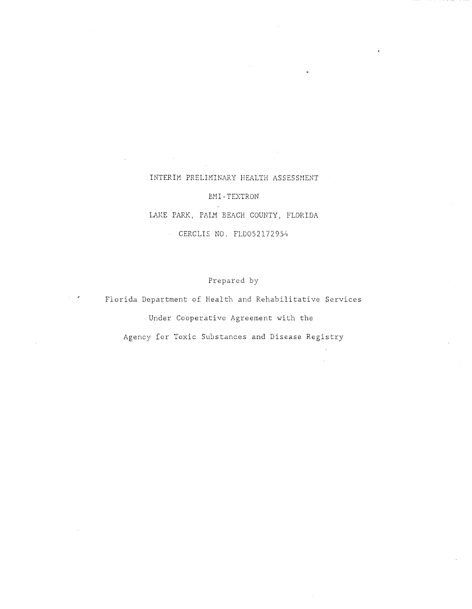### INTERIM PRELIHINARY HEALTH ASSESSHENT

BMI-TEXTRON

LAKE PARK, PALM BEACH COUNTY, FLORIDA

CERCLIS NO. FLDOS2l72954

Prepared by

Florida Department of Health and Rehabilitative Services

Under Cooperative Agreement with the

Agency for Toxic Substances and Disease Registry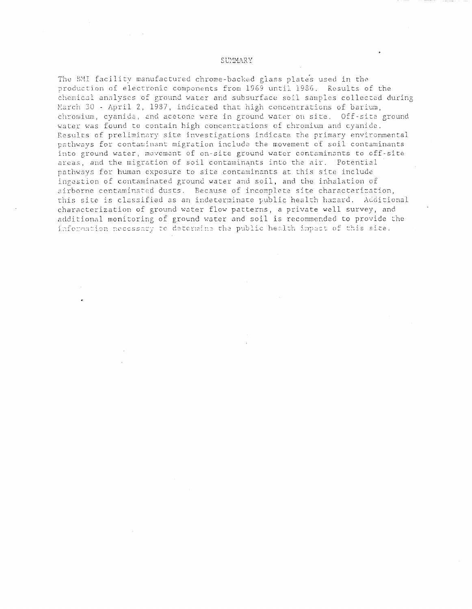#### SUMMARY

The BMI facility manufactured chrome-backed glass plates used in the production of electronic components from 1969 until 1986. Results of the chemical analyses of ground water and subsurface soil samples collected during March 30 - April 2, 1987, indicated that high concentrations of barium, chromium, cyanide, and acetone were in ground water on site. Off-site ground water was found to contain high concentrations of chromium and cyanide. Results of preliminary site investigations indicate the primary environmental pathways for contaminant migration include the movement of soil contaminants into ground water, movement of on-site ground water contaminants to off-site areas, and the migration of soil contaminants into the air. 'Potential pathways for human exposure to site contaminants at this site include ingestion of contaminated ground water and soil, and the inhalation of airborne contaminated dusts. Because of incomplete site characterization, this site is classified as an indeterminate public health hazard. Additional characterization of ground water flow patterns, a private well survey, and additional monitoring of ground water and soil is recommended to provide the information necessary to determine the public health impact of this site.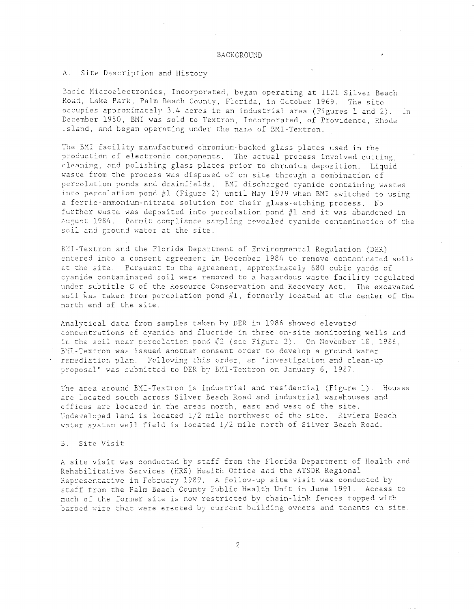#### BACKGROVND

#### A. Site Description and History

Basic Microelectronics, Incorporated, began operating at 1121 Silver Beach Road, Lake Park, Palm Beach County, Florida, in October 1969. The site occupies approximately 3.4 acres in an industrial area (Figures 1 and 2). In December 1980, BMI was sold to Textron, Incorporated, of Providence, Rhode Island, and began operating under the name of BMI-Textron.

The BMI facility manufactured chromium-backed glass plates used in the production of electronic components. The actual process involved cutting, cleaning, and polishing glass plates prior to chromium deposition. Liquid waste from the process was disposed of on site through a combination of percolation ponds and drainfields. BMI discharged cyanide containing wastes into percolation pond *til* (Figure 2) until May 1979 when BHI switched to using a ferric-ammonium-nitrate solution for their glass-etching process. No further waste was deposited into percolation pond  $#1$  and it was abandoned in August 1984. Permit compliance sampling revealed cyanide contamination of the soil and ground water at the site.

BMI-Textron and the Florida Department of Environmental Regulation (DER) entered into a consent agreement in December 1984 to remove contaminated soils at the site. Pursuant to the agreement, approximately 680 cubic yards of cyanide contaminated soil were removed to a hazardous waste facility regulated under subtitle C of the Resource Conservation and Recovery Act. The excavated soil was taken from percolation pond  $#1$ , formerly located at the center of the north end of the site.

Analytical data from samples taken by DER in 1986 showed elevated concentrations of cyanide and fluoride in three on-site monitoring wells and ir, the soil near percolation pond #2 (see Figure 2). On November 18, 1986, BMI-Textron was issued another consent order to develop a ground water remediation plan. Following this order, an "investigation and clean-up proposal" was submitted to DER by EMI-Textron on January 6, 1987.

The area around BNI-Textron is industrial and residential (Figure 1). Houses are located south across Silver Beach Road and industrial warehouses and offices are located in the areas north, east and west of the site. Undeveloped land is located 1/2 mile northwest of the site. Riviera Beach water system well field is located 1/2 mile north of Silver Beach Road.

#### B. Site Visit

A site visit was conducted by staff from the Florida Department of Health and Rehabilitative Services (HRS) Health Office and the ATSDR Regional Representative in February 1989. A follow-up site visit was conducted by staff from the Palm Beach County Public Health Unit in June 1991. Access to much of the former site is now restricted by chain-link fences topped with barbed wire that were erected by current building owners and tenants on site.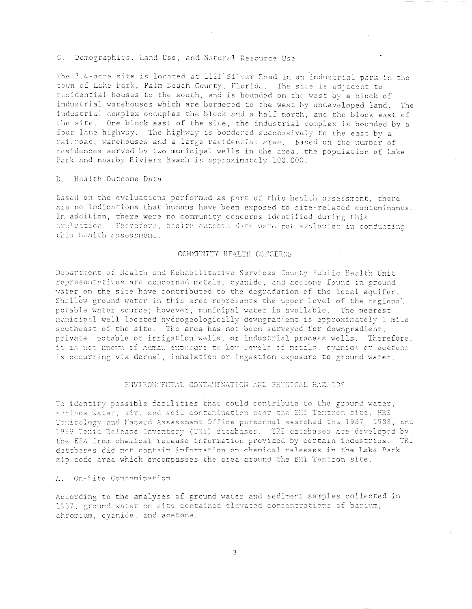#### C. Demographics, Land Use, and Natural Resource Use

The 3.4-acre site is located at 1121 Silver Road in an industrial park in the town of Lake Park, Palm Beach County, Florida. The site is adjacent to residential houses to the south, and is bounded on the west by a block of industrial warehouses which are bordered to the west by undeveloped land. The industrial complex occupies the block and a half north, and the block east of the site. One block east of the site, the industrial complex is bounded by a four lane highway. The highway is bordered successively to the east by a railroad, warehouses and a large residential area. Based on the number of residences served by two municipal wells in the area, the population of Lake Park and nearby Riviera Beach is approximately 108,000.

#### D. Health Outcome Data

Based on the evaluations performed as part of this health assessment, there are no indications that humans have been exposed to site-related contaminants. In addition, there were no community concerns identified during this evaluation. Therefore, health outcome data were not evaluated in conducting this health assessment.

#### COMMUNITY HEALTH CONCERNS

Department of Health and Rehabilitative Services County Fublic Health Unit representatives are concerned metals, cyanide, and acetone found in ground water on the site have contributed to the degradation of the local aquifer. Shallow ground water in this area represents the upper level of the regional potable water source; however, municipal water is available. The nearest municipal well located hydrogeologically downgradient is approximately 1 mile southeast of the site. The area has not been surveyed for downgradient, private, potable or irrigation wells, or industrial process wells. Therefore, it is not known if human exposure to low levels of metals, cyanide or acetons is occurring via dermal, inhalation or ingestion exposure to ground water.

#### ENVIRONMENTAL CONTAMINATION AND PHYSICAL HAZARDS

To identify possible facilities that could contribute to the ground water, surface water, air, and soil contamination near the EME Textron site, HRS Toxicology and Hazard Assessment Office personnel searched the 1987, 1988, and 1939 Toxic Release Inventory (TRI) databases. TRI databases are developed by the EPA from chemical release information provided by certain industries. TRI databases did not contain information on chemical releases in the Lake Park zip code area which encompasses the area around the EMI Textron site.

#### A. On-Site Contamination

According to the analyses of ground water and sediment samples collected in 1987, ground water on site contained elevated concentrations of barium, chromium, cyanide, and acetone.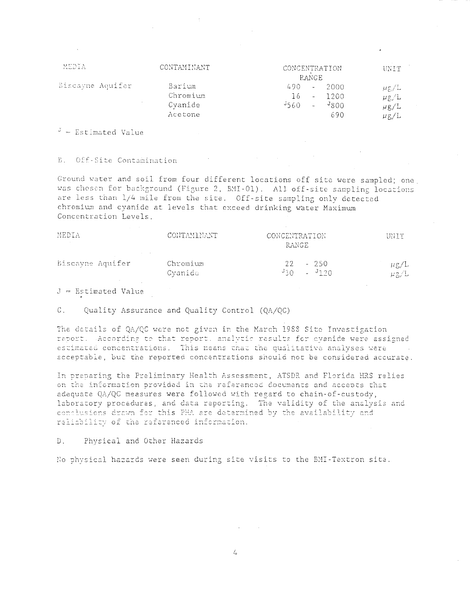| MEDIA            | CONTAMINANT                              | CONCENTRATION<br><b>RANGE</b>                                                         | UNIT                                             |
|------------------|------------------------------------------|---------------------------------------------------------------------------------------|--------------------------------------------------|
| Biscayne Aquifer | Barium<br>Chromium<br>Cyanide<br>Acetone | 490 -<br>$-2000$<br>16.<br>- 1200.<br>$\sim$<br>3800<br>JS 60.<br>$\mathbf{u}$<br>690 | $\mu$ g/L<br>$\mu g/L$<br>$\mu$ g/L<br>$\mu$ g/L |

 $J =$  Estimated Value

#### B. Off-Site Contamination

Ground water and soil from four different locations off site were sampled; one was chosen for background (Figure 2, BMI-01). All off-site sampling locations are less than  $1/4$  mile from the site. Off-site sampling only detected chromium and cyanide at levels that exceed drinking water Maximum Concentration Levels.

| MEDIA            | CONTAMINANT | CONCENTRATION<br>RANGE. | UNIT      |
|------------------|-------------|-------------------------|-----------|
| Biscayne Aquifer | Chromium    | 22 - 250                | $\mu$ g/L |
|                  | Cyanide     | $J_{30}$ - $J_{120}$    | $\mu$ g/L |

#### $J =$  Estimated Value

 $C$ . Quality Assurance and Quality Control (QA/QC)

The details of QA/QC were not given in the March 1988 Site Investigation report. According to that report, analytic results for evanide were assigned estimated concentrations. This means that the qualitative analyses were acceptable, but the reported concentrations should not be considered accurate.

In preparing the Preliminary Health Assessment, ATSDR and Florida HRS relies on the information provided in the referenced documents and accepts that adequate QA/QC measures were followed with regard to chain-of-custody, laboratory procedures, and data reporting. The validity of the analysis and conclusions drawn for this PHA are determined by the availability and reliability of the referenced information.

 $D.$ Physical and Other Hazards

No physical hazards were seen during site visits to the BMI-Textron site.

 $\sqrt{2}$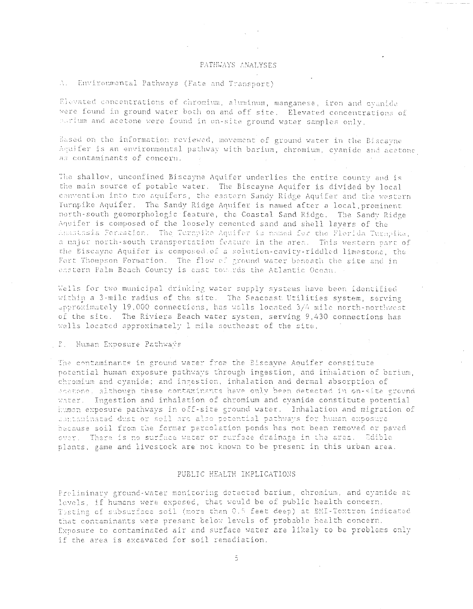#### PATHWAYS ANALYSES

#### A. Environmental Pathways (Fate and Transport)

Elevated concentrations of chromium, aluminum, manganese, iron and evanide were found in ground water both on and off site. Elevated concentrations of parium and acetone were found in on-site ground water samples only.

Based on the information reviewed, movement of ground water in the Biscayne Acuifer is an environmental pathway with barium, chromium, cyanide and acetone as contaminants of concern.

The shallow, unconfined Biscayne Aquifer underlies the entire county and is the main source of potable water. The Biscayne Aquifer is divided by local convention into two aquifers, the eastern Sandy Ridge Aquifer and the western Turnpike Aquifer. The Sandy Ridge Aquifer is named after a local prominent north-south geomorphologic feature, the Coastal Sand Ridge. The Sandy Ridge Aquifer is composed of the loosely cemented sand and shell layers of the Anastasia Fermation. The Turnpike Aquifer is named for the Florida Turnpike, a major north-south transportation feature in the area. This western part of the Biscayne Aquifer is composed of a solution-cavity-riddled limestone, the Fort Thompson Formation. The flow of ground water beneath the site and in enstern Palm Beach County is east towards the Atlantic Ocean.

Wells for two municipal drinking water supply systems have been identified within a 3-mile radius of the site. The Seacoast Utilities system, serving unproximately 19,000 connections, has wells located 3/4 mile north-northwest of the site. The Riviera Beach water system, serving 9,430 connections has wells located approximately 1 mile southeast of the site.

#### E. Human Exposure Pathways

The contaminants in ground water from the Biscayne Aquifer constitute potential human exposure pathways through ingestion, and inhalation of barium, chromium and cyanide; and ingestion, inhalation and dermal absorption of contone, although these contaminants have only been detected in on-site ground water. Ingestion and inhalation of chromium and evanide constitute potential imman exposure pathways in off-site ground water. Inhalation and migration of contaminated dust or soil are also potential pathways for human exposure because soil from the former percolation ponds has not been removed or paved over. There is no surface water or surface drainage in the area. Edible plants, game and livestock are not known to be present in this urban area.

#### PUBLIC HEALTH IMPLICATIONS

Freliminary ground-water monitoring detected barium, chromium, and cyanide at levels, if humans were exposed, that would be of public health concern. Testing of subsurface soil (more than 0.5 feet deep) at BMI-Textron indicated that contaminants were present below levels of probable health concern. Exposure to contaminated air and surface water are likely to be problems only if the area is excavated for soil remediation.

 $\overline{5}$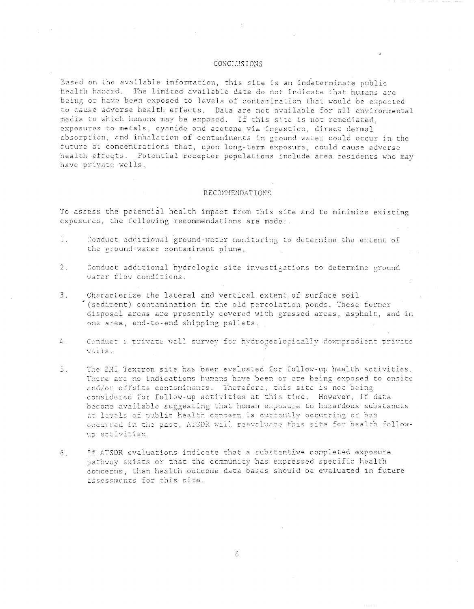#### CONCLUSIONS

Based on the available information, this site is an indeterminate public health hazard. The limited available data do not indicate that humans are being or have been exposed to levels of contamination that would be expected to cause adverse health effects. Data are not available for all environmental media to which humans may be exposed. If this site is not remediated, exposures to metals, cyanide and acetone via ingestion, direct dermal absorption, and inhalation of contaminants in ground water could occur in the future at concentrations that, upon long-term exposure, could cause adverse health effects. Potential receptor populations include area residents who may have private wells.

#### RECOMMENDATIONS

To assess the potential health impact from this site and to minimize existing exposures, the following recommendations are made:

- $\mathfrak{1}$ . Conduct additional ground-water monitoring to determine the extent of the ground-water contaminant plume.
- $2.$ Conduct additional hydrologic site investigations to determine ground water flow conditions.
- Characterize the lateral and vertical extent of surface soil  $3.$ '(sediment) contamination in the old percolation ponds. These former disposal areas are presently covered with grassed areas, asphalt, and in one area, end-to-end shipping pallets.
- $\mathcal{L}_{\mathbb{C}_{\geq 0}}$ Conduct a private well survey for hydrogeologically downgradient private wells.
- $5.$ The EMI Textron site has been evaluated for follow-up health activities. There are no indications humans have been or are being exposed to onsite and/or offsite contaminants. Therefore, this site is not being considered for follow-up activities at this time. However, if data become available suggesting that human exposure to hazardous substances at levels of public health concern is currently occurring or has occurred in the past, ATSDR will reavaluate this site for health followup activities.
- If ATSDR evaluations indicate that a substantive completed exposure  $6.$ pathway exists or that the community has expressed specific health concerns, then health outcome data bases should be evaluated in future assessments for this site.

 $\acute{\rm{o}}$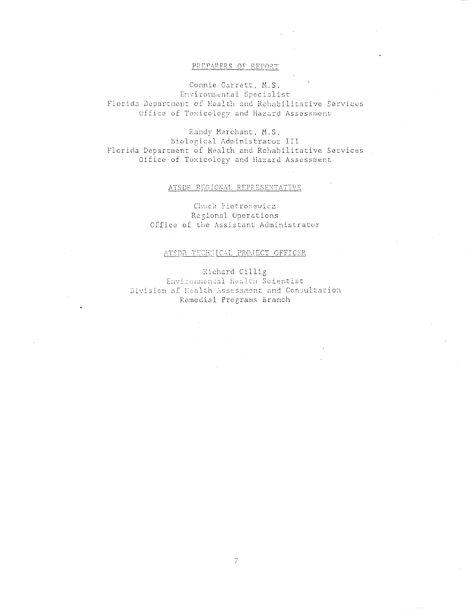#### PREPARERS OF REPORT

Connie Carrett, M.S. Environmental Specialist Florida Department of Health and Rehabilitative Services Office of Toxicology and Hazard Assessment

Randy Merchant, M.S. Biological Administrator III Florida Department of Health and Rehabilitative Services Office of Toxicology and Hazard Assessment

## ATSDR REGIONAL REPRESENTATIVE

Chuck Pietrosewicz Regional Operations Office of the Assistant Administrator

#### ATSDR TECHNICAL PROJECT OFFICER

Richard Cillig Environmental Health Scientist Division of Health Assessment and Consultation Remedial Programs Branch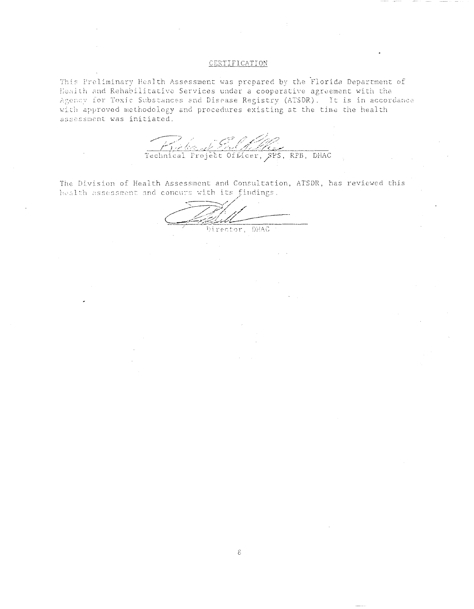#### CERTIFICATION

This Preliminary Health Assessment was prepared by the Florida Department of Health and Rehabilitative Services under a cooperative agreement with the Agency for Toxic Substances and Disease Registry (ATSDR). It is in accordance with approved methodology and procedures existing at the time the health assessment was initiated.

Technical Project Officer, SPS, RPB, DHAC

The Division of Health Assessment and Consultation, ATSDR, has reviewed this health assessment and concurs with its findings.

Director, DHAC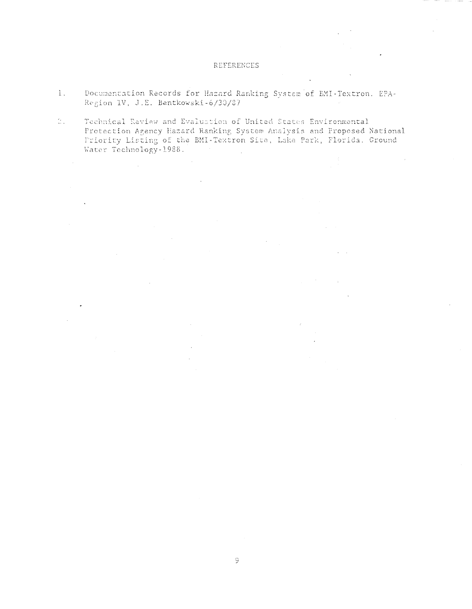#### **REFERENCES**

- Documentation Records for Hazard Ranking System of EMI-Textron. EPA- $1.$ Region IV, J.E. Bentkowski-6/30/87
- $\frac{c_1}{\sin\beta}$  . Technical Review and Evaluation of United States Environmental Protection Agency Hazard Ranking System Analysis and Proposed National Priority Listing of the BMI-Textron Site, Lake Park, Florida. Ground Water Technology-1988.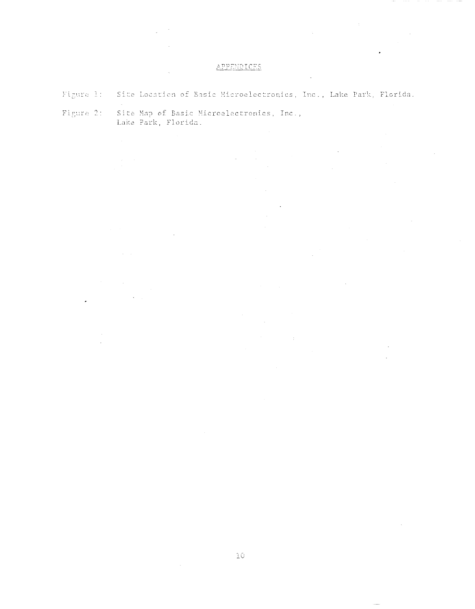# APPENDICES

 $\frac{1}{2}$ 

 $\mathbf{r}$ 

 $\sim$ 

 $\sim$ 

| Figure 1: | Site Location of Basic Microelectronics, Inc., Lake Park, Florida.                                                                                                                                                                                           |                                                                                                                                                                                                                                                                                                                                                                                                                                                               |                                                                                                                                                                                                                                                                                                                                                                                                                                                             |
|-----------|--------------------------------------------------------------------------------------------------------------------------------------------------------------------------------------------------------------------------------------------------------------|---------------------------------------------------------------------------------------------------------------------------------------------------------------------------------------------------------------------------------------------------------------------------------------------------------------------------------------------------------------------------------------------------------------------------------------------------------------|-------------------------------------------------------------------------------------------------------------------------------------------------------------------------------------------------------------------------------------------------------------------------------------------------------------------------------------------------------------------------------------------------------------------------------------------------------------|
| Figure 2: | Site Map of Basic Microelectronics, Inc.,<br>Lake Park, Florida.                                                                                                                                                                                             |                                                                                                                                                                                                                                                                                                                                                                                                                                                               |                                                                                                                                                                                                                                                                                                                                                                                                                                                             |
|           | $\mathcal{L}(\mathcal{L}^{\mathcal{L}})$ and $\mathcal{L}^{\mathcal{L}}$ are the set of the set of $\mathcal{L}^{\mathcal{L}}$                                                                                                                               |                                                                                                                                                                                                                                                                                                                                                                                                                                                               |                                                                                                                                                                                                                                                                                                                                                                                                                                                             |
|           |                                                                                                                                                                                                                                                              |                                                                                                                                                                                                                                                                                                                                                                                                                                                               |                                                                                                                                                                                                                                                                                                                                                                                                                                                             |
|           |                                                                                                                                                                                                                                                              | $\mathcal{L}^{\mathcal{L}}(\mathcal{L}^{\mathcal{L}})$ and the set of the set of the set of the set of the set of the set of the set of the set of the set of the set of the set of the set of the set of the set of the set of the set of the set of<br>$\mathcal{L}(\mathcal{L}(\mathcal{L}))$ and $\mathcal{L}(\mathcal{L}(\mathcal{L}))$ and $\mathcal{L}(\mathcal{L}(\mathcal{L}))$ . The contribution of the contribution of $\mathcal{L}(\mathcal{L})$ |                                                                                                                                                                                                                                                                                                                                                                                                                                                             |
|           | the contract of the contract of the contract of the contract of the contract of the contract of                                                                                                                                                              |                                                                                                                                                                                                                                                                                                                                                                                                                                                               |                                                                                                                                                                                                                                                                                                                                                                                                                                                             |
|           | $\mathcal{L}(\mathcal{L}(\mathcal{L}))$ is a set of the set of $\mathcal{L}(\mathcal{L})$ . The set of the set of the set of the set of the set of the set of the set of the set of the set of the set of the set of the set of the set of the set of the se |                                                                                                                                                                                                                                                                                                                                                                                                                                                               |                                                                                                                                                                                                                                                                                                                                                                                                                                                             |
|           | a de la construcción de la construcción de la construcción de la construcción de la construcción de la constru<br>En la construcción de la construcción de la construcción de la construcción de la construcción de la construcc                             |                                                                                                                                                                                                                                                                                                                                                                                                                                                               |                                                                                                                                                                                                                                                                                                                                                                                                                                                             |
|           |                                                                                                                                                                                                                                                              |                                                                                                                                                                                                                                                                                                                                                                                                                                                               |                                                                                                                                                                                                                                                                                                                                                                                                                                                             |
|           | $\mathcal{O}(\mathcal{O}_\mathcal{O})$ . The contract of the contract of the contract of the contract of the contract of the contract of the contract of the contract of the contract of the contract of the contract of the contract of the co              |                                                                                                                                                                                                                                                                                                                                                                                                                                                               | $\mathcal{L}(\mathcal{L}(\mathcal{L}(\mathcal{L}(\mathcal{L}(\mathcal{L}(\mathcal{L}(\mathcal{L}(\mathcal{L}(\mathcal{L}(\mathcal{L}(\mathcal{L}(\mathcal{L}(\mathcal{L}(\mathcal{L}(\mathcal{L}(\mathcal{L}(\mathcal{L}(\mathcal{L}(\mathcal{L}(\mathcal{L}(\mathcal{L}(\mathcal{L}(\mathcal{L}(\mathcal{L}(\mathcal{L}(\mathcal{L}(\mathcal{L}(\mathcal{L}(\mathcal{L}(\mathcal{L}(\mathcal{L}(\mathcal{L}(\mathcal{L}(\mathcal{L}(\mathcal{L}(\mathcal{$ |

 $\frac{1}{2}$ 

 $\label{eq:2.1} \frac{1}{\sqrt{2}}\left(\frac{1}{\sqrt{2}}\right)^{2} \left(\frac{1}{\sqrt{2}}\right)^{2} \left(\frac{1}{\sqrt{2}}\right)^{2} \left(\frac{1}{\sqrt{2}}\right)^{2} \left(\frac{1}{\sqrt{2}}\right)^{2} \left(\frac{1}{\sqrt{2}}\right)^{2} \left(\frac{1}{\sqrt{2}}\right)^{2} \left(\frac{1}{\sqrt{2}}\right)^{2} \left(\frac{1}{\sqrt{2}}\right)^{2} \left(\frac{1}{\sqrt{2}}\right)^{2} \left(\frac{1}{\sqrt{2}}\right)^{2} \left(\$ 

 $\ddot{\phantom{0}}$ 

 $\frac{1}{2}$ 

 $10\,$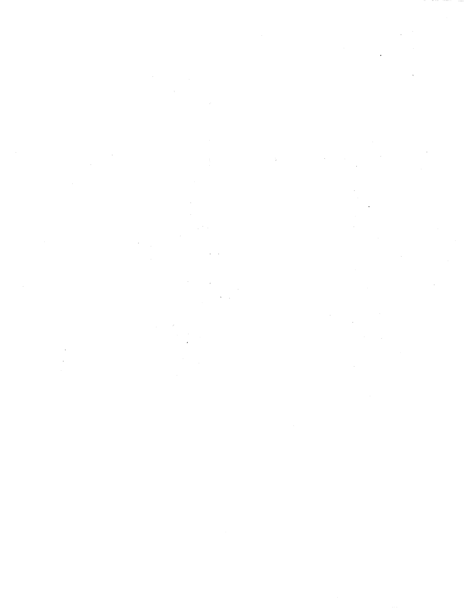$\label{eq:2.1} \frac{1}{\sqrt{2\pi}}\int_{0}^{\infty}\frac{1}{\sqrt{2\pi}}\left(\frac{1}{\sqrt{2\pi}}\right)^{2\pi}d\mu_{\rm{eff}}\,d\mu_{\rm{eff}}$ 

 $\Delta \mathcal{F}(\mathcal{A})$  $\frac{1}{2} \left( \frac{1}{2} \right)$  $\label{eq:2} \frac{1}{\sqrt{2}}\left(\frac{1}{\sqrt{2}}\right)^2\left(\frac{1}{\sqrt{2}}\right)^2.$  $\label{eq:2.1} \begin{split} \mathcal{L}_{\text{max}}(\mathcal{L}_{\text{max}}) = \mathcal{L}_{\text{max}}(\mathcal{L}_{\text{max}}) \,, \\ \mathcal{L}_{\text{max}}(\mathcal{L}_{\text{max}}) = \mathcal{L}_{\text{max}}(\mathcal{L}_{\text{max}}) \,, \\ \mathcal{L}_{\text{max}}(\mathcal{L}_{\text{max}}) = \mathcal{L}_{\text{max}}(\mathcal{L}_{\text{max}}) \,. \end{split}$  $\label{eq:2.1} \frac{1}{\sqrt{2\pi}}\int_{\mathbb{R}^3} \frac{d\mu}{\sqrt{2\pi}} \left( \frac{d\mu}{\sqrt{2\pi}} \right)^2 \frac{d\mu}{\sqrt{2\pi}} \frac{d\mu}{\sqrt{2\pi}} \frac{d\mu}{\sqrt{2\pi}} \frac{d\mu}{\sqrt{2\pi}} \frac{d\mu}{\sqrt{2\pi}} \frac{d\mu}{\sqrt{2\pi}} \frac{d\mu}{\sqrt{2\pi}} \frac{d\mu}{\sqrt{2\pi}} \frac{d\mu}{\sqrt{2\pi}} \frac{d\mu}{\sqrt{2\pi}} \frac{d\mu}{\sqrt{2\$ 

 $\label{eq:2.1} \begin{split} \mathcal{L}_{\text{max}}(\mathbf{r},\mathbf{r}) = \mathcal{L}_{\text{max}}(\mathbf{r},\mathbf{r}) \mathcal{L}_{\text{max}}(\mathbf{r},\mathbf{r}) \mathcal{L}_{\text{max}}(\mathbf{r},\mathbf{r}) \mathcal{L}_{\text{max}}(\mathbf{r},\mathbf{r}) \mathcal{L}_{\text{max}}(\mathbf{r},\mathbf{r},\mathbf{r}) \mathcal{L}_{\text{max}}(\mathbf{r},\mathbf{r},\mathbf{r}) \mathcal{L}_{\text{max}}(\mathbf{r},\mathbf{r},\mathbf{r},\mathbf$  $\begin{aligned} \frac{d}{dt} \frac{d}{dt} \left( \frac{d}{dt} \right) & = \frac{1}{2} \left( \frac{d}{dt} \right) \frac{d}{dt} \left( \frac{d}{dt} \right) & = \frac{1}{2} \left( \frac{d}{dt} \right) \frac{d}{dt} \left( \frac{d}{dt} \right) & = \frac{1}{2} \left( \frac{d}{dt} \right) \frac{d}{dt} \end{aligned}$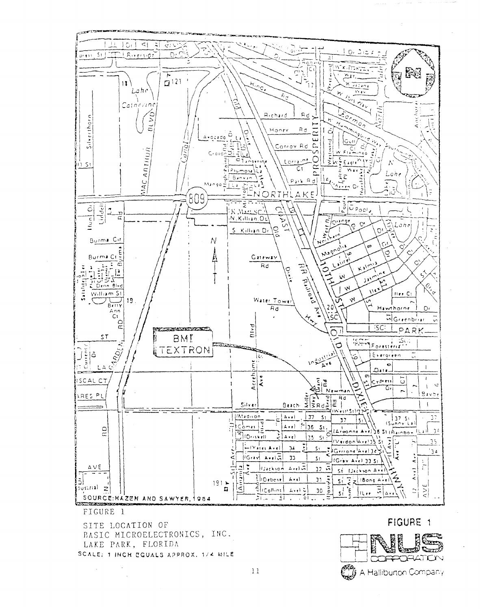

SITE LOCATION OF BASIC MICROELECTRONICS, INC.

LAKE PARK, FLORIDA

SCALE: 1 INCH EQUALS APPROX. 1/4 MILE